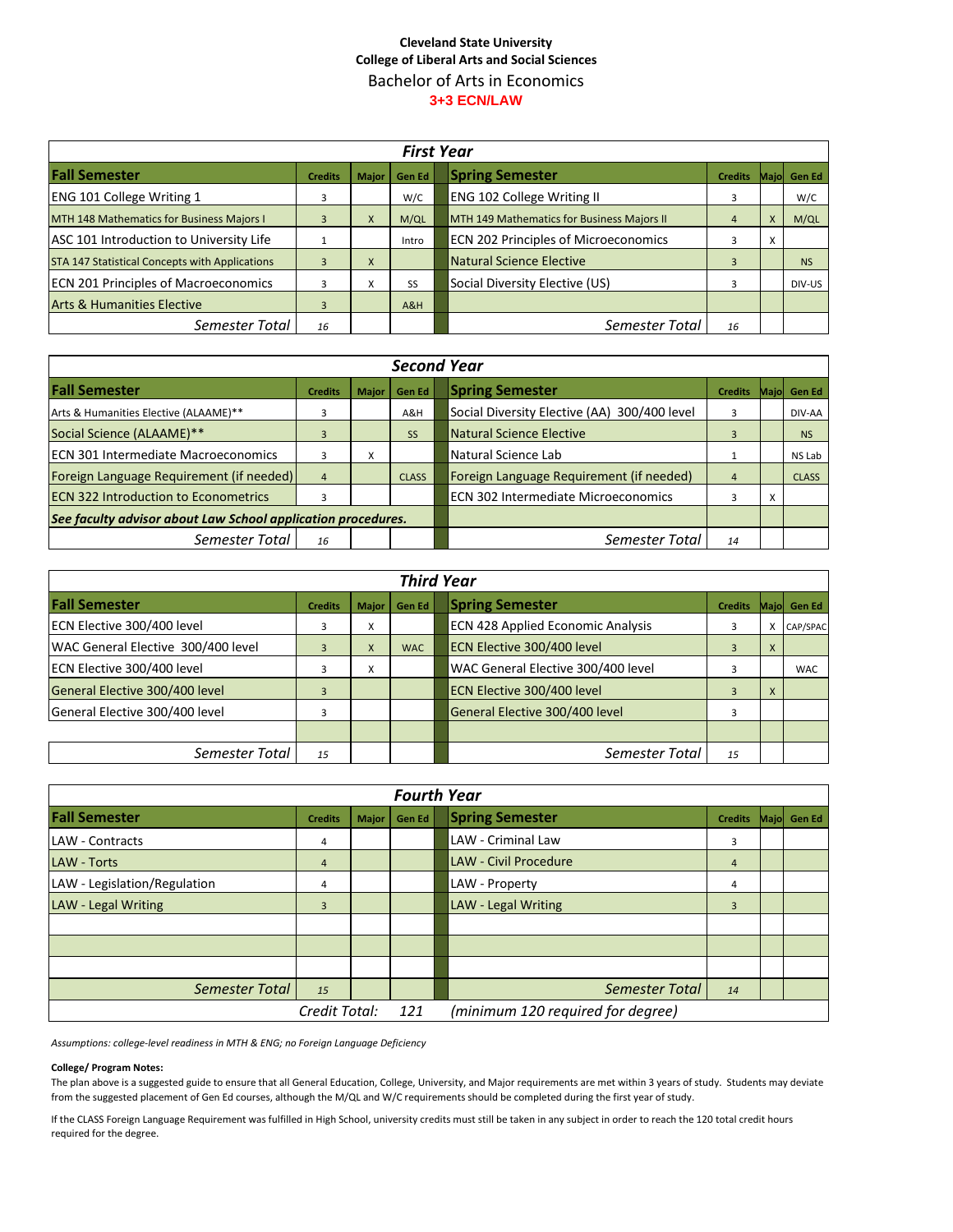## **Cleveland State University College of Liberal Arts and Social Sciences** Bachelor of Arts in Economics **3+3 ECN/LAW**

| <b>First Year</b>                              |                |              |        |  |                                             |                |   |              |
|------------------------------------------------|----------------|--------------|--------|--|---------------------------------------------|----------------|---|--------------|
| <b>Fall Semester</b>                           | <b>Credits</b> | <b>Major</b> | Gen Ed |  | <b>Spring Semester</b>                      | <b>Credits</b> |   | Majol Gen Ed |
| <b>ENG 101 College Writing 1</b>               | 3              |              | W/C    |  | <b>ENG 102 College Writing II</b>           | 3              |   | W/C          |
| MTH 148 Mathematics for Business Majors I      | 3              | X            | M/QL   |  | MTH 149 Mathematics for Business Majors II  | $\overline{4}$ | X | M/QL         |
| ASC 101 Introduction to University Life        |                |              | Intro  |  | <b>ECN 202 Principles of Microeconomics</b> |                | X |              |
| STA 147 Statistical Concepts with Applications | 3              | X            |        |  | Natural Science Elective                    | $\overline{3}$ |   | <b>NS</b>    |
| <b>ECN 201 Principles of Macroeconomics</b>    | 3              | v<br>Λ.      | SS     |  | Social Diversity Elective (US)              | 3              |   | DIV-US       |
| <b>Arts &amp; Humanities Elective</b>          | 3              |              | A&H    |  |                                             |                |   |              |
| Semester Total                                 | 16             |              |        |  | Semester Total                              | 16             |   |              |

| <b>Second Year</b>                                           |                |              |              |  |                                              |                |   |              |
|--------------------------------------------------------------|----------------|--------------|--------------|--|----------------------------------------------|----------------|---|--------------|
| <b>Fall Semester</b>                                         | <b>Credits</b> | <b>Major</b> | Gen Ed       |  | <b>Spring Semester</b>                       | <b>Credits</b> |   | Majol Gen Ed |
| Arts & Humanities Elective (ALAAME)**                        | 3              |              | A&H          |  | Social Diversity Elective (AA) 300/400 level | 3              |   | DIV-AA       |
| Social Science (ALAAME)**                                    | 3              |              | <b>SS</b>    |  | <b>Natural Science Elective</b>              | 3              |   | <b>NS</b>    |
| <b>ECN 301 Intermediate Macroeconomics</b>                   | 3              | x            |              |  | Natural Science Lab                          |                |   | NS Lab       |
| Foreign Language Requirement (if needed)                     | $\overline{4}$ |              | <b>CLASS</b> |  | Foreign Language Requirement (if needed)     | $\overline{4}$ |   | <b>CLASS</b> |
| <b>ECN 322 Introduction to Econometrics</b>                  | 3              |              |              |  | <b>ECN 302 Intermediate Microeconomics</b>   | 3              | X |              |
| See faculty advisor about Law School application procedures. |                |              |              |  |                                              |                |   |              |
| Semester Total                                               | 16             |              |              |  | Semester Total                               | 14             |   |              |

| <b>Third Year</b>                  |                |              |            |  |                                          |                |       |               |
|------------------------------------|----------------|--------------|------------|--|------------------------------------------|----------------|-------|---------------|
| <b>Fall Semester</b>               | <b>Credits</b> | <b>Major</b> | Gen Ed     |  | <b>Spring Semester</b>                   | <b>Credits</b> | Majol | <b>Gen Ed</b> |
| ECN Elective 300/400 level         | 3              | X            |            |  | <b>ECN 428 Applied Economic Analysis</b> | 3              | x     | CAP/SPAC      |
| WAC General Elective 300/400 level | 3              | X            | <b>WAC</b> |  | ECN Elective 300/400 level               | 3              | X     |               |
| ECN Elective 300/400 level         | 3              | x            |            |  | WAC General Elective 300/400 level       | 3              |       | <b>WAC</b>    |
| General Elective 300/400 level     | 3              |              |            |  | ECN Elective 300/400 level               |                | X     |               |
| General Elective 300/400 level     | 3              |              |            |  | General Elective 300/400 level           | 3              |       |               |
|                                    |                |              |            |  |                                          |                |       |               |
| Semester Total                     | 15             |              |            |  | Semester Total                           | 15             |       |               |

| <b>Fourth Year</b>           |                |              |               |  |                                   |                |  |             |
|------------------------------|----------------|--------------|---------------|--|-----------------------------------|----------------|--|-------------|
| <b>Fall Semester</b>         | <b>Credits</b> | <b>Major</b> | <b>Gen Ed</b> |  | <b>Spring Semester</b>            | <b>Credits</b> |  | Majo Gen Ed |
| LAW - Contracts              | 4              |              |               |  | <b>LAW - Criminal Law</b>         | 3              |  |             |
| <b>LAW - Torts</b>           | $\overline{4}$ |              |               |  | <b>LAW - Civil Procedure</b>      | $\overline{4}$ |  |             |
| LAW - Legislation/Regulation | 4              |              |               |  | LAW - Property                    | 4              |  |             |
| LAW - Legal Writing          | $\overline{3}$ |              |               |  | LAW - Legal Writing               | $\overline{3}$ |  |             |
|                              |                |              |               |  |                                   |                |  |             |
|                              |                |              |               |  |                                   |                |  |             |
|                              |                |              |               |  |                                   |                |  |             |
| <b>Semester Total</b>        | 15             |              |               |  | Semester Total                    | 14             |  |             |
|                              | Credit Total:  |              | 121           |  | (minimum 120 required for degree) |                |  |             |

*Assumptions: college-level readiness in MTH & ENG; no Foreign Language Deficiency*

## **College/ Program Notes:**

The plan above is a suggested guide to ensure that all General Education, College, University, and Major requirements are met within 3 years of study. Students may deviate from the suggested placement of Gen Ed courses, although the M/QL and W/C requirements should be completed during the first year of study.

If the CLASS Foreign Language Requirement was fulfilled in High School, university credits must still be taken in any subject in order to reach the 120 total credit hours required for the degree.